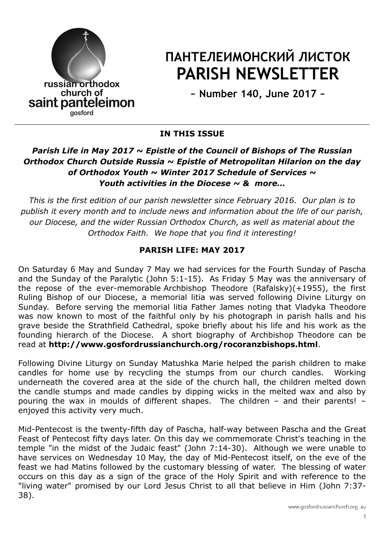

# ПАНТЕЛЕИМОНСКИЙ ЛИСТОК PARISH NEWSLETTER

~ Number 140, June 2017 ~

### IN THIS ISSUE

## Parish Life in May 2017  $\sim$  Epistle of the Council of Bishops of The Russian Orthodox Church Outside Russia  $\sim$  Epistle of Metropolitan Hilarion on the day of Orthodox Youth  $\sim$  Winter 2017 Schedule of Services  $\sim$ Youth activities in the Diocese  $\sim$  & more...

This is the first edition of our parish newsletter since February 2016. Our plan is to publish it every month and to include news and information about the life of our parish, our Diocese, and the wider Russian Orthodox Church, as well as material about the Orthodox Faith. We hope that you find it interesting!

## PARISH LIFE: MAY 2017

On Saturday 6 May and Sunday 7 May we had services for the Fourth Sunday of Pascha and the Sunday of the Paralytic (John 5:1-15). As Friday 5 May was the anniversary of the repose of the ever-memorable Archbishop Theodore (Rafalsky)(+1955), the first Ruling Bishop of our Diocese, a memorial litia was served following Divine Liturgy on Sunday. Before serving the memorial litia Father James noting that Vladyka Theodore was now known to most of the faithful only by his photograph in parish halls and his grave beside the Strathfield Cathedral, spoke briefly about his life and his work as the founding hierarch of the Diocese. A short biography of Archbishop Theodore can be read at http://www.gosfordrussianchurch.org/rocoranzbishops.html.

Following Divine Liturgy on Sunday Matushka Marie helped the parish children to make candles for home use by recycling the stumps from our church candles. Working underneath the covered area at the side of the church hall, the children melted down the candle stumps and made candles by dipping wicks in the melted wax and also by pouring the wax in moulds of different shapes. The children – and their parents! – enioved this activity very much.

Mid-Pentecost is the twenty-fifth day of Pascha, half-way between Pascha and the Great Feast of Pentecost fifty days later. On this day we commemorate Christ's teaching in the temple "in the midst of the Judaic feast" (John 7:14-30). Although we were unable to have services on Wednesday 10 May, the day of Mid-Pentecost itself, on the eve of the feast we had Matins followed by the customary blessing of water. The blessing of water occurs on this day as a sign of the grace of the Holy Spirit and with reference to the "living water" promised by our Lord Jesus Christ to all that believe in Him (John 7:37- 38).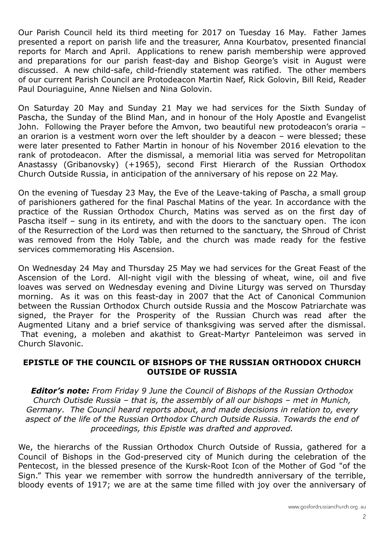Our Parish Council held its third meeting for 2017 on Tuesday 16 May. Father James presented a report on parish life and the treasurer, Anna Kourbatov, presented financial reports for March and April. Applications to renew parish membership were approved and preparations for our parish feast-day and Bishop George's visit in August were discussed. A new child-safe, child-friendly statement was ratified. The other members of our current Parish Council are Protodeacon Martin Naef, Rick Golovin, Bill Reid, Reader Paul Douriaguine, Anne Nielsen and Nina Golovin.

On Saturday 20 May and Sunday 21 May we had services for the Sixth Sunday of Pascha, the Sunday of the Blind Man, and in honour of the Holy Apostle and Evangelist John. Following the Prayer before the Amvon, two beautiful new protodeacon's oraria – an orarion is a vestment worn over the left shoulder by a deacon – were blessed; these were later presented to Father Martin in honour of his November 2016 elevation to the rank of protodeacon. After the dismissal, a memorial litia was served for Metropolitan Anastassy (Gribanovsky) (+1965), second First Hierarch of the Russian Orthodox Church Outside Russia, in anticipation of the anniversary of his repose on 22 May.

On the evening of Tuesday 23 May, the Eve of the Leave-taking of Pascha, a small group of parishioners gathered for the final Paschal Matins of the year. In accordance with the practice of the Russian Orthodox Church, Matins was served as on the first day of Pascha itself – sung in its entirety, and with the doors to the sanctuary open. The icon of the Resurrection of the Lord was then returned to the sanctuary, the Shroud of Christ was removed from the Holy Table, and the church was made ready for the festive services commemorating His Ascension.

On Wednesday 24 May and Thursday 25 May we had services for the Great Feast of the Ascension of the Lord. All-night vigil with the blessing of wheat, wine, oil and five loaves was served on Wednesday evening and Divine Liturgy was served on Thursday morning. As it was on this feast-day in 2007 that the Act of Canonical Communion between the Russian Orthodox Church outside Russia and the Moscow Patriarchate was signed, the Prayer for the Prosperity of the Russian Church was read after the Augmented Litany and a brief service of thanksgiving was served after the dismissal. That evening, a moleben and akathist to Great-Martyr Panteleimon was served in Church Slavonic.

#### EPISTLE OF THE COUNCIL OF BISHOPS OF THE RUSSIAN ORTHODOX CHURCH OUTSIDE OF RUSSIA

**Editor's note:** From Friday 9 June the Council of Bishops of the Russian Orthodox Church Outisde Russia – that is, the assembly of all our bishops – met in Munich, Germany. The Council heard reports about, and made decisions in relation to, every aspect of the life of the Russian Orthodox Church Outside Russia. Towards the end of proceedings, this Epistle was drafted and approved.

We, the hierarchs of the Russian Orthodox Church Outside of Russia, gathered for a Council of Bishops in the God-preserved city of Munich during the celebration of the Pentecost, in the blessed presence of the Kursk-Root Icon of the Mother of God "of the Sign." This year we remember with sorrow the hundredth anniversary of the terrible, bloody events of 1917; we are at the same time filled with joy over the anniversary of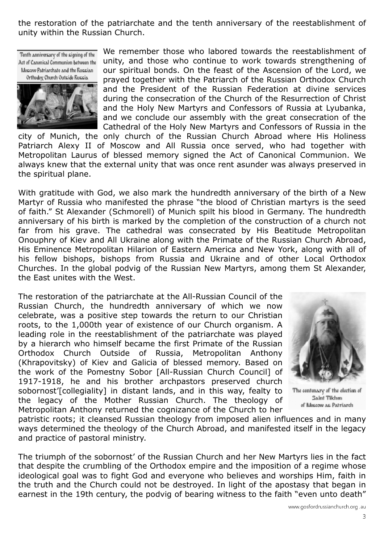the restoration of the patriarchate and the tenth anniversary of the reestablishment of unity within the Russian Church.

Tenth anniversary of the signing of the Act of Canonical Communion between the Moscow Patriarchate and the Russian Orthodox Church Outside Russia



We remember those who labored towards the reestablishment of unity, and those who continue to work towards strengthening of our spiritual bonds. On the feast of the Ascension of the Lord, we prayed together with the Patriarch of the Russian Orthodox Church and the President of the Russian Federation at divine services during the consecration of the Church of the Resurrection of Christ and the Holy New Martyrs and Confessors of Russia at Lyubanka, and we conclude our assembly with the great consecration of the Cathedral of the Holy New Martyrs and Confessors of Russia in the

city of Munich, the only church of the Russian Church Abroad where His Holiness Patriarch Alexy II of Moscow and All Russia once served, who had together with Metropolitan Laurus of blessed memory signed the Act of Canonical Communion. We always knew that the external unity that was once rent asunder was always preserved in the spiritual plane.

With gratitude with God, we also mark the hundredth anniversary of the birth of a New Martyr of Russia who manifested the phrase "the blood of Christian martyrs is the seed of faith." St Alexander (Schmorell) of Munich spilt his blood in Germany. The hundredth anniversary of his birth is marked by the completion of the construction of a church not far from his grave. The cathedral was consecrated by His Beatitude Metropolitan Onouphry of Kiev and All Ukraine along with the Primate of the Russian Church Abroad, His Eminence Metropolitan Hilarion of Eastern America and New York, along with all of his fellow bishops, bishops from Russia and Ukraine and of other Local Orthodox Churches. In the global podvig of the Russian New Martyrs, among them St Alexander, the East unites with the West.

The restoration of the patriarchate at the All-Russian Council of the Russian Church, the hundredth anniversary of which we now celebrate, was a positive step towards the return to our Christian roots, to the 1,000th year of existence of our Church organism. A leading role in the reestablishment of the patriarchate was played by a hierarch who himself became the first Primate of the Russian Orthodox Church Outside of Russia, Metropolitan Anthony (Khrapovitsky) of Kiev and Galicia of blessed memory. Based on the work of the Pomestny Sobor [All-Russian Church Council] of 1917-1918, he and his brother archpastors preserved church sobornost'[collegiality] in distant lands, and in this way, fealty to the legacy of the Mother Russian Church. The theology of Metropolitan Anthony returned the cognizance of the Church to her



The centenary of the election of Saint Tilchen of Moscow as Patriarch

patristic roots; it cleansed Russian theology from imposed alien influences and in many ways determined the theology of the Church Abroad, and manifested itself in the legacy and practice of pastoral ministry.

The triumph of the sobornost' of the Russian Church and her New Martyrs lies in the fact that despite the crumbling of the Orthodox empire and the imposition of a regime whose ideological goal was to fight God and everyone who believes and worships Him, faith in the truth and the Church could not be destroyed. In light of the apostasy that began in earnest in the 19th century, the podvig of bearing witness to the faith "even unto death"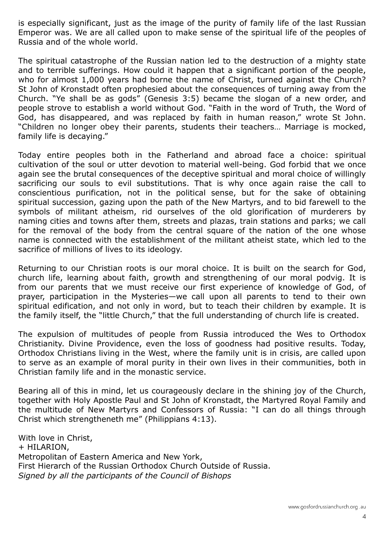is especially significant, just as the image of the purity of family life of the last Russian Emperor was. We are all called upon to make sense of the spiritual life of the peoples of Russia and of the whole world.

The spiritual catastrophe of the Russian nation led to the destruction of a mighty state and to terrible sufferings. How could it happen that a significant portion of the people, who for almost 1,000 years had borne the name of Christ, turned against the Church? St John of Kronstadt often prophesied about the consequences of turning away from the Church. "Ye shall be as gods" (Genesis 3:5) became the slogan of a new order, and people strove to establish a world without God. "Faith in the word of Truth, the Word of God, has disappeared, and was replaced by faith in human reason," wrote St John. "Children no longer obey their parents, students their teachers… Marriage is mocked, family life is decaying."

Today entire peoples both in the Fatherland and abroad face a choice: spiritual cultivation of the soul or utter devotion to material well-being. God forbid that we once again see the brutal consequences of the deceptive spiritual and moral choice of willingly sacrificing our souls to evil substitutions. That is why once again raise the call to conscientious purification, not in the political sense, but for the sake of obtaining spiritual succession, gazing upon the path of the New Martyrs, and to bid farewell to the symbols of militant atheism, rid ourselves of the old glorification of murderers by naming cities and towns after them, streets and plazas, train stations and parks; we call for the removal of the body from the central square of the nation of the one whose name is connected with the establishment of the militant atheist state, which led to the sacrifice of millions of lives to its ideology.

Returning to our Christian roots is our moral choice. It is built on the search for God, church life, learning about faith, growth and strengthening of our moral podvig. It is from our parents that we must receive our first experience of knowledge of God, of prayer, participation in the Mysteries—we call upon all parents to tend to their own spiritual edification, and not only in word, but to teach their children by example. It is the family itself, the "little Church," that the full understanding of church life is created.

The expulsion of multitudes of people from Russia introduced the Wes to Orthodox Christianity. Divine Providence, even the loss of goodness had positive results. Today, Orthodox Christians living in the West, where the family unit is in crisis, are called upon to serve as an example of moral purity in their own lives in their communities, both in Christian family life and in the monastic service.

Bearing all of this in mind, let us courageously declare in the shining joy of the Church, together with Holy Apostle Paul and St John of Kronstadt, the Martyred Royal Family and the multitude of New Martyrs and Confessors of Russia: "I can do all things through Christ which strengtheneth me" (Philippians 4:13).

With love in Christ, + HILARION, Metropolitan of Eastern America and New York, First Hierarch of the Russian Orthodox Church Outside of Russia. Signed by all the participants of the Council of Bishops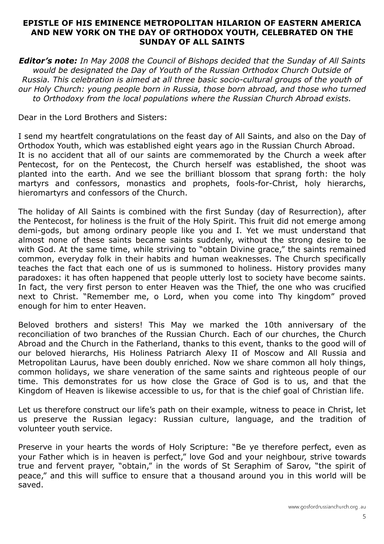#### EPISTLE OF HIS EMINENCE METROPOLITAN HILARION OF EASTERN AMERICA AND NEW YORK ON THE DAY OF ORTHODOX YOUTH, CELEBRATED ON THE SUNDAY OF ALL SAINTS

**Editor's note:** In May 2008 the Council of Bishops decided that the Sunday of All Saints would be designated the Day of Youth of the Russian Orthodox Church Outside of Russia. This celebration is aimed at all three basic socio-cultural groups of the youth of our Holy Church: young people born in Russia, those born abroad, and those who turned to Orthodoxy from the local populations where the Russian Church Abroad exists.

Dear in the Lord Brothers and Sisters:

I send my heartfelt congratulations on the feast day of All Saints, and also on the Day of Orthodox Youth, which was established eight years ago in the Russian Church Abroad. It is no accident that all of our saints are commemorated by the Church a week after Pentecost, for on the Pentecost, the Church herself was established, the shoot was planted into the earth. And we see the brilliant blossom that sprang forth: the holy martyrs and confessors, monastics and prophets, fools-for-Christ, holy hierarchs, hieromartyrs and confessors of the Church.

The holiday of All Saints is combined with the first Sunday (day of Resurrection), after the Pentecost, for holiness is the fruit of the Holy Spirit. This fruit did not emerge among demi-gods, but among ordinary people like you and I. Yet we must understand that almost none of these saints became saints suddenly, without the strong desire to be with God. At the same time, while striving to "obtain Divine grace," the saints remained common, everyday folk in their habits and human weaknesses. The Church specifically teaches the fact that each one of us is summoned to holiness. History provides many paradoxes: it has often happened that people utterly lost to society have become saints. In fact, the very first person to enter Heaven was the Thief, the one who was crucified next to Christ. "Remember me, o Lord, when you come into Thy kingdom" proved enough for him to enter Heaven.

Beloved brothers and sisters! This May we marked the 10th anniversary of the reconciliation of two branches of the Russian Church. Each of our churches, the Church Abroad and the Church in the Fatherland, thanks to this event, thanks to the good will of our beloved hierarchs, His Holiness Patriarch Alexy II of Moscow and All Russia and Metropolitan Laurus, have been doubly enriched. Now we share common all holy things, common holidays, we share veneration of the same saints and righteous people of our time. This demonstrates for us how close the Grace of God is to us, and that the Kingdom of Heaven is likewise accessible to us, for that is the chief goal of Christian life.

Let us therefore construct our life's path on their example, witness to peace in Christ, let us preserve the Russian legacy: Russian culture, language, and the tradition of volunteer youth service.

Preserve in your hearts the words of Holy Scripture: "Be ye therefore perfect, even as your Father which is in heaven is perfect," love God and your neighbour, strive towards true and fervent prayer, "obtain," in the words of St Seraphim of Sarov, "the spirit of peace," and this will suffice to ensure that a thousand around you in this world will be saved.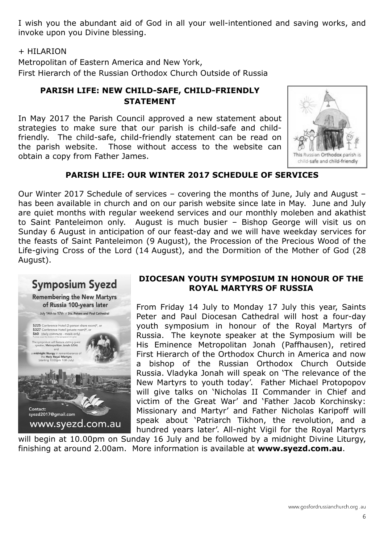I wish you the abundant aid of God in all your well-intentioned and saving works, and invoke upon you Divine blessing.

#### + HILARION

Metropolitan of Eastern America and New York, First Hierarch of the Russian Orthodox Church Outside of Russia

### PARISH LIFE: NEW CHILD-SAFE, CHILD-FRIENDLY STATEMENT

In May 2017 the Parish Council approved a new statement about strategies to make sure that our parish is child-safe and childfriendly. The child-safe, child-friendly statement can be read on the parish website. Those without access to the website can obtain a copy from Father James.



### PARISH LIFE: OUR WINTER 2017 SCHEDULE OF SERVICES

Our Winter 2017 Schedule of services – covering the months of June, July and August – has been available in church and on our parish website since late in May. June and July are quiet months with regular weekend services and our monthly moleben and akathist to Saint Panteleimon only. August is much busier – Bishop George will visit us on Sunday 6 August in anticipation of our feast-day and we will have weekday services for the feasts of Saint Panteleimon (9 August), the Procession of the Precious Wood of the Life-giving Cross of the Lord (14 August), and the Dormition of the Mother of God (28 August).



#### DIOCESAN YOUTH SYMPOSIUM IN HONOUR OF THE ROYAL MARTYRS OF RUSSIA

From Friday 14 July to Monday 17 July this year, Saints Peter and Paul Diocesan Cathedral will host a four-day youth symposium in honour of the Royal Martyrs of Russia. The keynote speaker at the Symposium will be His Eminence Metropolitan Jonah (Paffhausen), retired First Hierarch of the Orthodox Church in America and now a bishop of the Russian Orthodox Church Outside Russia. Vladyka Jonah will speak on 'The relevance of the New Martyrs to youth today'. Father Michael Protopopov will give talks on 'Nicholas II Commander in Chief and victim of the Great War' and 'Father Jacob Korchinsky: Missionary and Martyr' and Father Nicholas Karipoff will speak about 'Patriarch Tikhon, the revolution, and a hundred years later'. All-night Vigil for the Royal Martyrs

will begin at 10.00pm on Sunday 16 July and be followed by a midnight Divine Liturgy, finishing at around 2.00am. More information is available at www.syezd.com.au.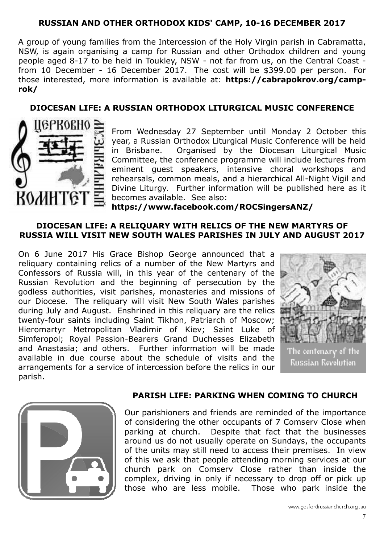#### RUSSIAN AND OTHER ORTHODOX KIDS' CAMP, 10-16 DECEMBER 2017

A group of young families from the Intercession of the Holy Virgin parish in Cabramatta, NSW, is again organising a camp for Russian and other Orthodox children and young people aged 8-17 to be held in Toukley, NSW - not far from us, on the Central Coast from 10 December - 16 December 2017. The cost will be \$399.00 per person. For those interested, more information is available at: https://cabrapokrov.org/camprok/

#### DIOCESAN LIFE: A RUSSIAN ORTHODOX LITURGICAL MUSIC CONFERENCE



From Wednesday 27 September until Monday 2 October this year, a Russian Orthodox Liturgical Music Conference will be held in Brisbane. Organised by the Diocesan Liturgical Music Committee, the conference programme will include lectures from eminent guest speakers, intensive choral workshops and rehearsals, common meals, and a hierarchical All-Night Vigil and Divine Liturgy. Further information will be published here as it becomes available. See also: https://www.facebook.com/ROCSingersANZ/

# DIOCESAN LIFE: A RELIQUARY WITH RELICS OF THE NEW MARTYRS OF

RUSSIA WILL VISIT NEW SOUTH WALES PARISHES IN JULY AND AUGUST 2017

On 6 June 2017 His Grace Bishop George announced that a reliquary containing relics of a number of the New Martyrs and Confessors of Russia will, in this year of the centenary of the Russian Revolution and the beginning of persecution by the godless authorities, visit parishes, monasteries and missions of our Diocese. The reliquary will visit New South Wales parishes during July and August. Enshrined in this reliquary are the relics twenty-four saints including Saint Tikhon, Patriarch of Moscow; Hieromartyr Metropolitan Vladimir of Kiev; Saint Luke of Simferopol; Royal Passion-Bearers Grand Duchesses Elizabeth and Anastasia; and others. Further information will be made available in due course about the schedule of visits and the arrangements for a service of intercession before the relics in our parish.





#### PARISH LIFE: PARKING WHEN COMING TO CHURCH

Our parishioners and friends are reminded of the importance of considering the other occupants of 7 Comserv Close when parking at church. Despite that fact that the businesses around us do not usually operate on Sundays, the occupants of the units may still need to access their premises. In view of this we ask that people attending morning services at our church park on Comserv Close rather than inside the complex, driving in only if necessary to drop off or pick up those who are less mobile. Those who park inside the